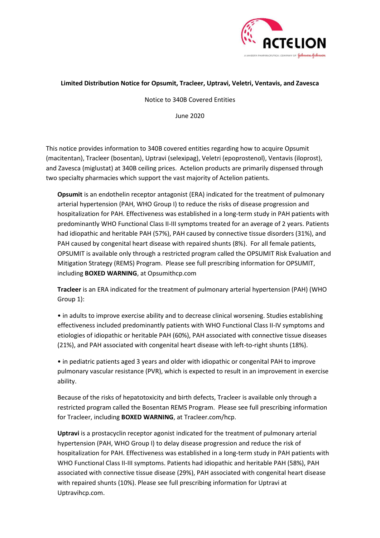

## **Limited Distribution Notice for Opsumit, Tracleer, Uptravi, Veletri, Ventavis, and Zavesca**

Notice to 340B Covered Entities

June 2020

This notice provides information to 340B covered entities regarding how to acquire Opsumit (macitentan), Tracleer (bosentan), Uptravi (selexipag), Veletri (epoprostenol), Ventavis (iloprost), and Zavesca (miglustat) at 340B ceiling prices. Actelion products are primarily dispensed through two specialty pharmacies which support the vast majority of Actelion patients.

**Opsumit** is an endothelin receptor antagonist (ERA) indicated for the treatment of pulmonary arterial hypertension (PAH, WHO Group I) to reduce the risks of disease progression and hospitalization for PAH. Effectiveness was established in a long-term study in PAH patients with predominantly WHO Functional Class II-III symptoms treated for an average of 2 years. Patients had idiopathic and heritable PAH (57%), PAH caused by connective tissue disorders (31%), and PAH caused by congenital heart disease with repaired shunts (8%). For all female patients, OPSUMIT is available only through a restricted program called the OPSUMIT Risk Evaluation and Mitigation Strategy (REMS) Program. Please see full prescribing information for OPSUMIT, including **BOXED WARNING**, at Opsumithcp.com

**Tracleer** is an ERA indicated for the treatment of pulmonary arterial hypertension (PAH) (WHO Group 1):

• in adults to improve exercise ability and to decrease clinical worsening. Studies establishing effectiveness included predominantly patients with WHO Functional Class II-IV symptoms and etiologies of idiopathic or heritable PAH (60%), PAH associated with connective tissue diseases (21%), and PAH associated with congenital heart disease with left-to-right shunts (18%).

• in pediatric patients aged 3 years and older with idiopathic or congenital PAH to improve pulmonary vascular resistance (PVR), which is expected to result in an improvement in exercise ability.

Because of the risks of hepatotoxicity and birth defects, Tracleer is available only through a restricted program called the Bosentan REMS Program. Please see full prescribing information for Tracleer, including **BOXED WARNING**, at Tracleer.com/hcp.

**Uptravi** is a prostacyclin receptor agonist indicated for the treatment of pulmonary arterial hypertension (PAH, WHO Group I) to delay disease progression and reduce the risk of hospitalization for PAH. Effectiveness was established in a long-term study in PAH patients with WHO Functional Class II-III symptoms. Patients had idiopathic and heritable PAH (58%), PAH associated with connective tissue disease (29%), PAH associated with congenital heart disease with repaired shunts (10%). Please see full prescribing information for Uptravi at Uptravihcp.com.